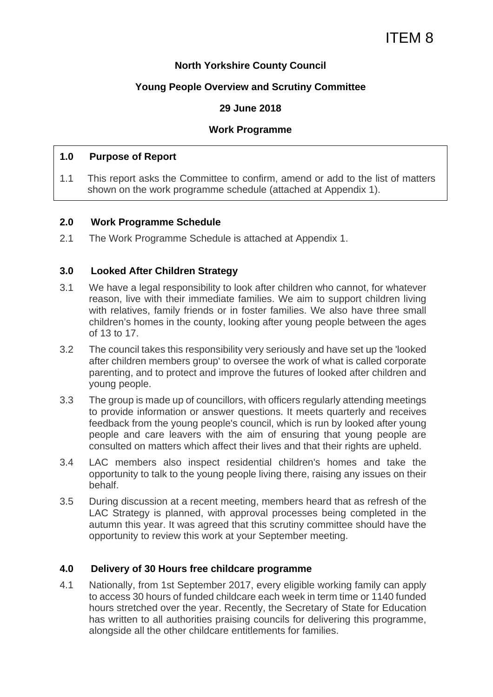# **North Yorkshire County Council**

# **Young People Overview and Scrutiny Committee**

# **29 June 2018**

#### **Work Programme**

#### **1.0 Purpose of Report**

1.1 This report asks the Committee to confirm, amend or add to the list of matters shown on the work programme schedule (attached at Appendix 1).

#### **2.0 Work Programme Schedule**

2.1 The Work Programme Schedule is attached at Appendix 1.

# **3.0 Looked After Children Strategy**

- 3.1 We have a legal responsibility to look after children who cannot, for whatever reason, live with their immediate families. We aim to support children living with relatives, family friends or in foster families. We also have three small children's homes in the county, looking after young people between the ages of 13 to 17.
- 3.2 The council takes this responsibility very seriously and have set up the 'looked after children members group' to oversee the work of what is called corporate parenting, and to protect and improve the futures of looked after children and young people.
- 3.3 The group is made up of councillors, with officers regularly attending meetings to provide information or answer questions. It meets quarterly and receives feedback from the young people's council, which is run by looked after young people and care leavers with the aim of ensuring that young people are consulted on matters which affect their lives and that their rights are upheld.
- 3.4 LAC members also inspect residential children's homes and take the opportunity to talk to the young people living there, raising any issues on their behalf.
- 3.5 During discussion at a recent meeting, members heard that as refresh of the LAC Strategy is planned, with approval processes being completed in the autumn this year. It was agreed that this scrutiny committee should have the opportunity to review this work at your September meeting.

# **4.0 Delivery of 30 Hours free childcare programme**

4.1 Nationally, from 1st September 2017, every eligible working family can apply to access 30 hours of funded childcare each week in term time or 1140 funded hours stretched over the year. Recently, the Secretary of State for Education has written to all authorities praising councils for delivering this programme, alongside all the other childcare entitlements for families.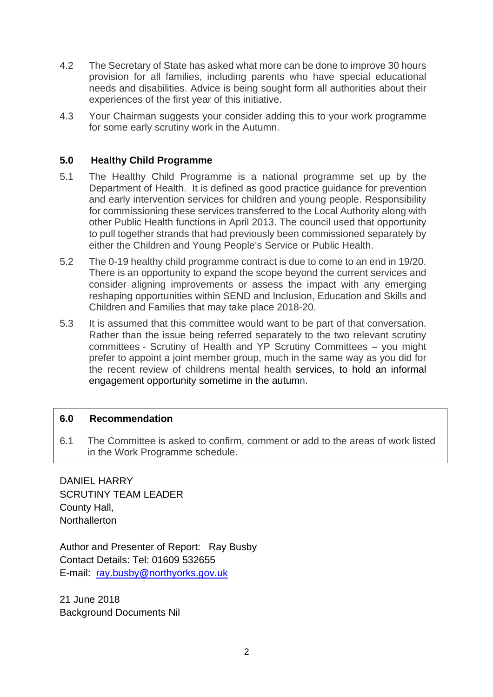- 4.2 The Secretary of State has asked what more can be done to improve 30 hours provision for all families, including parents who have special educational needs and disabilities. Advice is being sought form all authorities about their experiences of the first year of this initiative.
- 4.3 Your Chairman suggests your consider adding this to your work programme for some early scrutiny work in the Autumn.

# **5.0 Healthy Child Programme**

- 5.1 The Healthy Child Programme is a national programme set up by the Department of Health. It is defined as good practice guidance for prevention and early intervention services for children and young people. Responsibility for commissioning these services transferred to the Local Authority along with other Public Health functions in April 2013. The council used that opportunity to pull together strands that had previously been commissioned separately by either the Children and Young People's Service or Public Health.
- 5.2 The 0-19 healthy child programme contract is due to come to an end in 19/20. There is an opportunity to expand the scope beyond the current services and consider aligning improvements or assess the impact with any emerging reshaping opportunities within SEND and Inclusion, Education and Skills and Children and Families that may take place 2018-20.
- 5.3 It is assumed that this committee would want to be part of that conversation. Rather than the issue being referred separately to the two relevant scrutiny committees - Scrutiny of Health and YP Scrutiny Committees – you might prefer to appoint a joint member group, much in the same way as you did for the recent review of childrens mental health services, to hold an informal engagement opportunity sometime in the autumn.

# **6.0 Recommendation**

6.1 The Committee is asked to confirm, comment or add to the areas of work listed in the Work Programme schedule.

DANIEL HARRY SCRUTINY TEAM LEADER County Hall, **Northallerton** 

Author and Presenter of Report: Ray Busby Contact Details: Tel: 01609 532655 E-mail: ray.busby@northyorks.gov.uk

21 June 2018 Background Documents Nil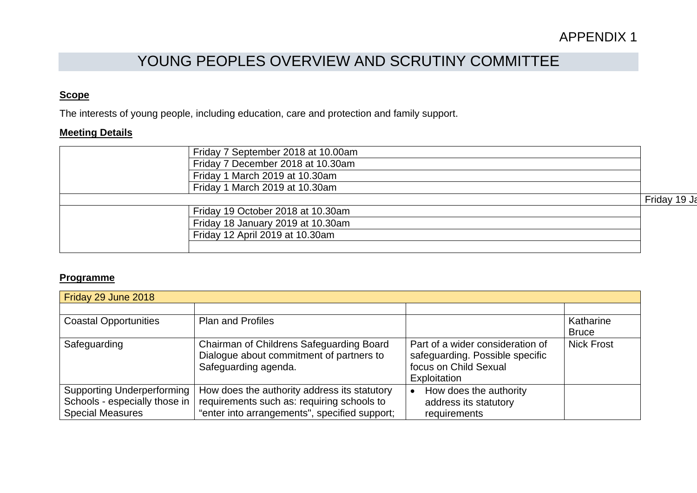# YOUNG PEOPLES OVERVIEW AND SCRUTINY COMMITTEE

# **Scope**

The interests of young people, including education, care and protection and family support.

#### **Meeting Details**

| Friday 7 September 2018 at 10.00am |                                   |                 |
|------------------------------------|-----------------------------------|-----------------|
|                                    | Friday 7 December 2018 at 10.30am |                 |
|                                    | Friday 1 March 2019 at 10.30am    |                 |
|                                    | Friday 1 March 2019 at 10.30am    |                 |
|                                    |                                   | Friday<br>19 Ja |
|                                    | Friday 19 October 2018 at 10.30am |                 |
|                                    | Friday 18 January 2019 at 10.30am |                 |
|                                    | Friday 12 April 2019 at 10.30am   |                 |
|                                    |                                   |                 |

#### **Programme**

| Friday 29 June 2018                                                                           |                                                                                                                                             |                                                                                                              |                           |  |
|-----------------------------------------------------------------------------------------------|---------------------------------------------------------------------------------------------------------------------------------------------|--------------------------------------------------------------------------------------------------------------|---------------------------|--|
|                                                                                               |                                                                                                                                             |                                                                                                              |                           |  |
| <b>Coastal Opportunities</b>                                                                  | <b>Plan and Profiles</b>                                                                                                                    |                                                                                                              | Katharine<br><b>Bruce</b> |  |
| Safeguarding                                                                                  | Chairman of Childrens Safeguarding Board<br>Dialogue about commitment of partners to<br>Safeguarding agenda.                                | Part of a wider consideration of<br>safeguarding. Possible specific<br>focus on Child Sexual<br>Exploitation | <b>Nick Frost</b>         |  |
| <b>Supporting Underperforming</b><br>Schools - especially those in<br><b>Special Measures</b> | How does the authority address its statutory<br>requirements such as: requiring schools to<br>"enter into arrangements", specified support; | How does the authority<br>address its statutory<br>requirements                                              |                           |  |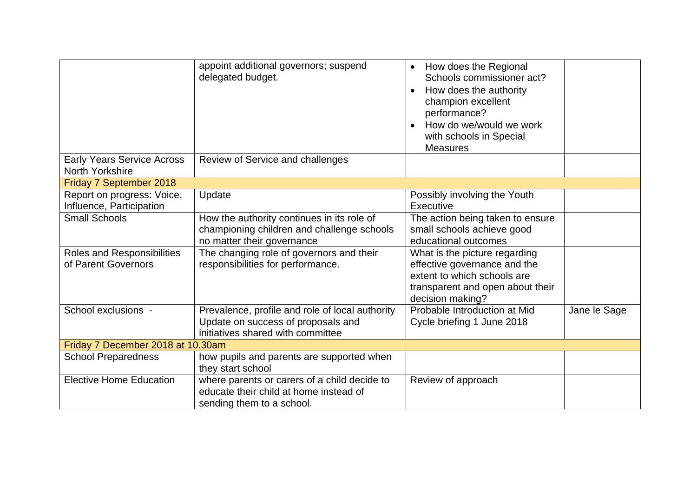|                                                        | appoint additional governors; suspend<br>delegated budget.                                                                 | How does the Regional<br>$\bullet$<br>Schools commissioner act?<br>How does the authority<br>$\bullet$<br>champion excellent<br>performance?<br>How do we/would we work<br>$\bullet$<br>with schools in Special<br><b>Measures</b> |              |
|--------------------------------------------------------|----------------------------------------------------------------------------------------------------------------------------|------------------------------------------------------------------------------------------------------------------------------------------------------------------------------------------------------------------------------------|--------------|
| <b>Early Years Service Across</b><br>North Yorkshire   | Review of Service and challenges                                                                                           |                                                                                                                                                                                                                                    |              |
| Friday 7 September 2018                                |                                                                                                                            |                                                                                                                                                                                                                                    |              |
| Report on progress: Voice,<br>Influence, Participation | Update                                                                                                                     | Possibly involving the Youth<br>Executive                                                                                                                                                                                          |              |
| <b>Small Schools</b>                                   | How the authority continues in its role of<br>championing children and challenge schools<br>no matter their governance     | The action being taken to ensure<br>small schools achieve good<br>educational outcomes                                                                                                                                             |              |
| Roles and Responsibilities<br>of Parent Governors      | The changing role of governors and their<br>responsibilities for performance.                                              | What is the picture regarding<br>effective governance and the<br>extent to which schools are<br>transparent and open about their<br>decision making?                                                                               |              |
| School exclusions -                                    | Prevalence, profile and role of local authority<br>Update on success of proposals and<br>initiatives shared with committee | Probable Introduction at Mid<br>Cycle briefing 1 June 2018                                                                                                                                                                         | Jane le Sage |
| Friday 7 December 2018 at 10.30am                      |                                                                                                                            |                                                                                                                                                                                                                                    |              |
| <b>School Preparedness</b>                             | how pupils and parents are supported when<br>they start school                                                             |                                                                                                                                                                                                                                    |              |
| <b>Elective Home Education</b>                         | where parents or carers of a child decide to<br>educate their child at home instead of<br>sending them to a school.        | Review of approach                                                                                                                                                                                                                 |              |